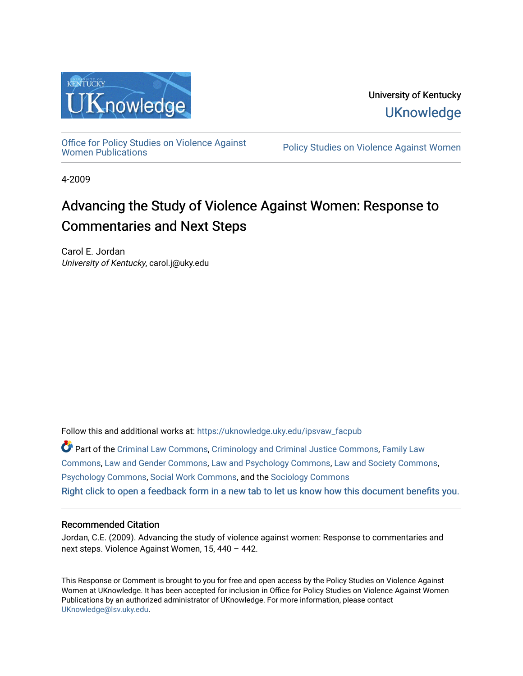

University of Kentucky **UKnowledge** 

[Office for Policy Studies on Violence Against](https://uknowledge.uky.edu/ipsvaw_facpub)

Policy Studies on Violence Against Women

4-2009

# Advancing the Study of Violence Against Women: Response to Commentaries and Next Steps

Carol E. Jordan University of Kentucky, carol.j@uky.edu

Follow this and additional works at: [https://uknowledge.uky.edu/ipsvaw\\_facpub](https://uknowledge.uky.edu/ipsvaw_facpub?utm_source=uknowledge.uky.edu%2Fipsvaw_facpub%2F10&utm_medium=PDF&utm_campaign=PDFCoverPages) 

Part of the [Criminal Law Commons,](http://network.bepress.com/hgg/discipline/912?utm_source=uknowledge.uky.edu%2Fipsvaw_facpub%2F10&utm_medium=PDF&utm_campaign=PDFCoverPages) [Criminology and Criminal Justice Commons](http://network.bepress.com/hgg/discipline/367?utm_source=uknowledge.uky.edu%2Fipsvaw_facpub%2F10&utm_medium=PDF&utm_campaign=PDFCoverPages), [Family Law](http://network.bepress.com/hgg/discipline/602?utm_source=uknowledge.uky.edu%2Fipsvaw_facpub%2F10&utm_medium=PDF&utm_campaign=PDFCoverPages)  [Commons](http://network.bepress.com/hgg/discipline/602?utm_source=uknowledge.uky.edu%2Fipsvaw_facpub%2F10&utm_medium=PDF&utm_campaign=PDFCoverPages), [Law and Gender Commons,](http://network.bepress.com/hgg/discipline/1298?utm_source=uknowledge.uky.edu%2Fipsvaw_facpub%2F10&utm_medium=PDF&utm_campaign=PDFCoverPages) [Law and Psychology Commons,](http://network.bepress.com/hgg/discipline/870?utm_source=uknowledge.uky.edu%2Fipsvaw_facpub%2F10&utm_medium=PDF&utm_campaign=PDFCoverPages) [Law and Society Commons](http://network.bepress.com/hgg/discipline/853?utm_source=uknowledge.uky.edu%2Fipsvaw_facpub%2F10&utm_medium=PDF&utm_campaign=PDFCoverPages), [Psychology Commons,](http://network.bepress.com/hgg/discipline/404?utm_source=uknowledge.uky.edu%2Fipsvaw_facpub%2F10&utm_medium=PDF&utm_campaign=PDFCoverPages) [Social Work Commons](http://network.bepress.com/hgg/discipline/713?utm_source=uknowledge.uky.edu%2Fipsvaw_facpub%2F10&utm_medium=PDF&utm_campaign=PDFCoverPages), and the [Sociology Commons](http://network.bepress.com/hgg/discipline/416?utm_source=uknowledge.uky.edu%2Fipsvaw_facpub%2F10&utm_medium=PDF&utm_campaign=PDFCoverPages) [Right click to open a feedback form in a new tab to let us know how this document benefits you.](https://uky.az1.qualtrics.com/jfe/form/SV_9mq8fx2GnONRfz7)

#### Recommended Citation

Jordan, C.E. (2009). Advancing the study of violence against women: Response to commentaries and next steps. Violence Against Women, 15, 440 – 442.

This Response or Comment is brought to you for free and open access by the Policy Studies on Violence Against Women at UKnowledge. It has been accepted for inclusion in Office for Policy Studies on Violence Against Women Publications by an authorized administrator of UKnowledge. For more information, please contact [UKnowledge@lsv.uky.edu.](mailto:UKnowledge@lsv.uky.edu)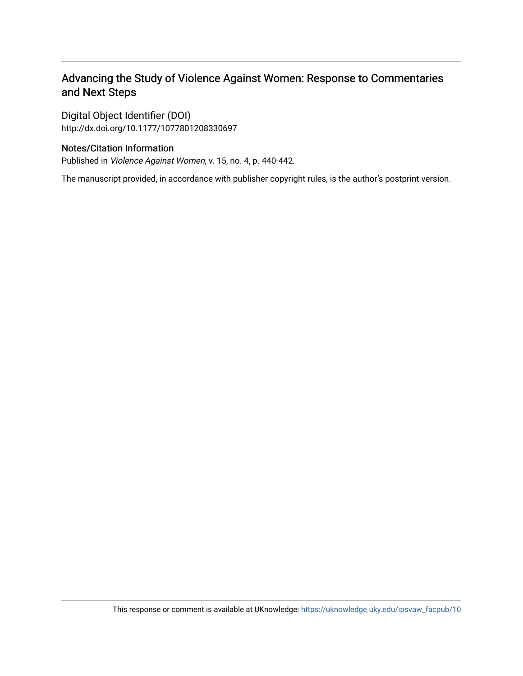## Advancing the Study of Violence Against Women: Response to Commentaries and Next Steps

Digital Object Identifier (DOI) http://dx.doi.org/10.1177/1077801208330697

### Notes/Citation Information

Published in Violence Against Women, v. 15, no. 4, p. 440-442.

The manuscript provided, in accordance with publisher copyright rules, is the author's postprint version.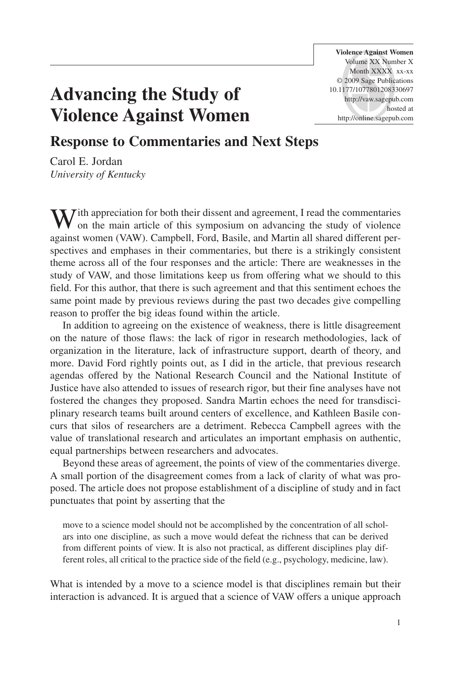**Violence Against Women** Volume XX Number X Month XXXX xx-xx © 2009 Sage Publications 10.1177/1077801208330697 http://vaw.sagepub.com hosted at http://online.sagepub.com

# **Advancing the Study of Violence Against Women**

### **Response to Commentaries and Next Steps**

Carol E. Jordan *University of Kentucky*

 $\sum$  *I* ith appreciation for both their dissent and agreement, I read the commentaries on the main article of this symposium on advancing the study of violence against women (VAW). Campbell, Ford, Basile, and Martin all shared different perspectives and emphases in their commentaries, but there is a strikingly consistent theme across all of the four responses and the article: There are weaknesses in the study of VAW, and those limitations keep us from offering what we should to this field. For this author, that there is such agreement and that this sentiment echoes the same point made by previous reviews during the past two decades give compelling reason to proffer the big ideas found within the article.

In addition to agreeing on the existence of weakness, there is little disagreement on the nature of those flaws: the lack of rigor in research methodologies, lack of organization in the literature, lack of infrastructure support, dearth of theory, and more. David Ford rightly points out, as I did in the article, that previous research agendas offered by the National Research Council and the National Institute of Justice have also attended to issues of research rigor, but their fine analyses have not fostered the changes they proposed. Sandra Martin echoes the need for transdisciplinary research teams built around centers of excellence, and Kathleen Basile concurs that silos of researchers are a detriment. Rebecca Campbell agrees with the value of translational research and articulates an important emphasis on authentic, equal partnerships between researchers and advocates.

Beyond these areas of agreement, the points of view of the commentaries diverge. A small portion of the disagreement comes from a lack of clarity of what was proposed. The article does not propose establishment of a discipline of study and in fact punctuates that point by asserting that the

move to a science model should not be accomplished by the concentration of all scholars into one discipline, as such a move would defeat the richness that can be derived from different points of view. It is also not practical, as different disciplines play different roles, all critical to the practice side of the field (e.g., psychology, medicine, law).

What is intended by a move to a science model is that disciplines remain but their interaction is advanced. It is argued that a science of VAW offers a unique approach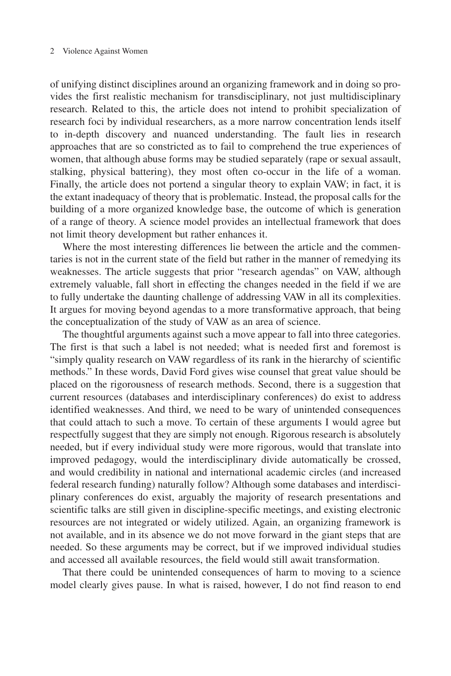#### 2 Violence Against Women

of unifying distinct disciplines around an organizing framework and in doing so provides the first realistic mechanism for transdisciplinary, not just multidisciplinary research. Related to this, the article does not intend to prohibit specialization of research foci by individual researchers, as a more narrow concentration lends itself to in-depth discovery and nuanced understanding. The fault lies in research approaches that are so constricted as to fail to comprehend the true experiences of women, that although abuse forms may be studied separately (rape or sexual assault, stalking, physical battering), they most often co-occur in the life of a woman. Finally, the article does not portend a singular theory to explain VAW; in fact, it is the extant inadequacy of theory that is problematic. Instead, the proposal calls for the building of a more organized knowledge base, the outcome of which is generation of a range of theory. A science model provides an intellectual framework that does not limit theory development but rather enhances it.

Where the most interesting differences lie between the article and the commentaries is not in the current state of the field but rather in the manner of remedying its weaknesses. The article suggests that prior "research agendas" on VAW, although extremely valuable, fall short in effecting the changes needed in the field if we are to fully undertake the daunting challenge of addressing VAW in all its complexities. It argues for moving beyond agendas to a more transformative approach, that being the conceptualization of the study of VAW as an area of science.

The thoughtful arguments against such a move appear to fall into three categories. The first is that such a label is not needed; what is needed first and foremost is "simply quality research on VAW regardless of its rank in the hierarchy of scientific methods." In these words, David Ford gives wise counsel that great value should be placed on the rigorousness of research methods. Second, there is a suggestion that current resources (databases and interdisciplinary conferences) do exist to address identified weaknesses. And third, we need to be wary of unintended consequences that could attach to such a move. To certain of these arguments I would agree but respectfully suggest that they are simply not enough. Rigorous research is absolutely needed, but if every individual study were more rigorous, would that translate into improved pedagogy, would the interdisciplinary divide automatically be crossed, and would credibility in national and international academic circles (and increased federal research funding) naturally follow? Although some databases and interdisciplinary conferences do exist, arguably the majority of research presentations and scientific talks are still given in discipline-specific meetings, and existing electronic resources are not integrated or widely utilized. Again, an organizing framework is not available, and in its absence we do not move forward in the giant steps that are needed. So these arguments may be correct, but if we improved individual studies and accessed all available resources, the field would still await transformation.

That there could be unintended consequences of harm to moving to a science model clearly gives pause. In what is raised, however, I do not find reason to end